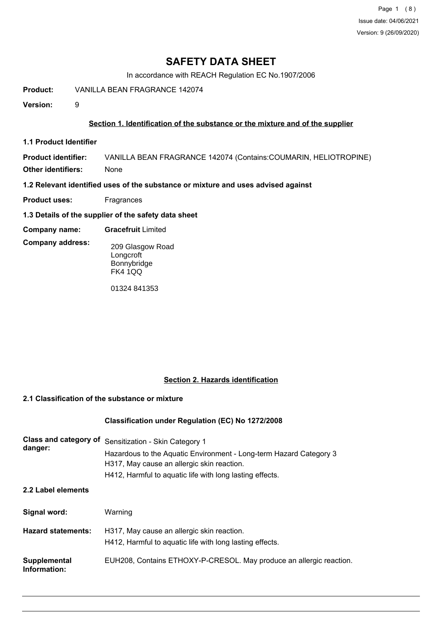# **SAFETY DATA SHEET**

In accordance with REACH Regulation EC No.1907/2006

**Product:** VANILLA BEAN FRAGRANCE 142074

**Version:** 9

# **Section 1. Identification of the substance or the mixture and of the supplier**

**1.1 Product Identifier**

**Product identifier:** VANILLA BEAN FRAGRANCE 142074 (Contains:COUMARIN, HELIOTROPINE) **Other identifiers:** None

**1.2 Relevant identified uses of the substance or mixture and uses advised against**

- **Product uses:** Fragrances
- **1.3 Details of the supplier of the safety data sheet**
- **Company name: Gracefruit** Limited
- **Company address:** 209 Glasgow Road **Longcroft** 
	- Bonnybridge FK4 1QQ

01324 841353

# **Section 2. Hazards identification**

# **2.1 Classification of the substance or mixture**

# **Classification under Regulation (EC) No 1272/2008**

| Class and category of<br>danger: | Sensitization - Skin Category 1<br>Hazardous to the Aquatic Environment - Long-term Hazard Category 3<br>H317, May cause an allergic skin reaction. |
|----------------------------------|-----------------------------------------------------------------------------------------------------------------------------------------------------|
|                                  | H412, Harmful to aquatic life with long lasting effects.                                                                                            |
| 2.2 Label elements               |                                                                                                                                                     |
| Signal word:                     | Warning                                                                                                                                             |
| <b>Hazard statements:</b>        | H317, May cause an allergic skin reaction.<br>H412, Harmful to aquatic life with long lasting effects.                                              |
| Supplemental<br>Information:     | EUH208, Contains ETHOXY-P-CRESOL. May produce an allergic reaction.                                                                                 |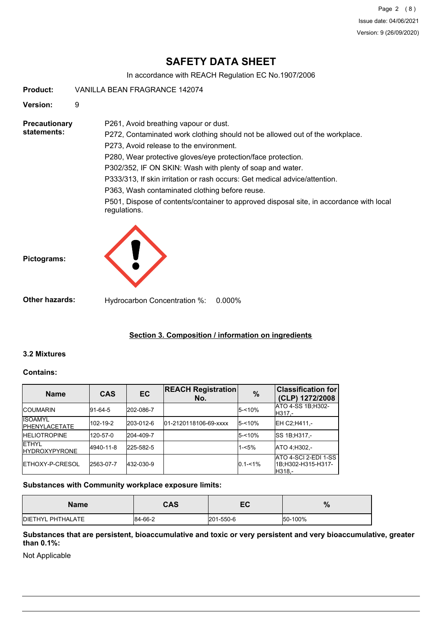Page 2 (8) Issue date: 04/06/2021 Version: 9 (26/09/2020)

# **SAFETY DATA SHEET**

In accordance with REACH Regulation EC No.1907/2006

**Product:** VANILLA BEAN FRAGRANCE 142074

**Version:** 9

**Precautionary statements:**

P272, Contaminated work clothing should not be allowed out of the workplace. P273, Avoid release to the environment. P280, Wear protective gloves/eye protection/face protection.

P302/352, IF ON SKIN: Wash with plenty of soap and water.

P333/313, If skin irritation or rash occurs: Get medical advice/attention.

P363, Wash contaminated clothing before reuse.

P261, Avoid breathing vapour or dust.

P501, Dispose of contents/container to approved disposal site, in accordance with local regulations.



**Other hazards:** Hydrocarbon Concentration %: 0.000%

# **Section 3. Composition / information on ingredients**

# **3.2 Mixtures**

**Pictograms:**

# **Contains:**

| <b>Name</b>                             | <b>CAS</b> | EC.       | <b>REACH Registration</b><br>No. | $\frac{9}{6}$ | <b>Classification for</b><br>(CLP) 1272/2008         |
|-----------------------------------------|------------|-----------|----------------------------------|---------------|------------------------------------------------------|
| <b>ICOUMARIN</b>                        | 91-64-5    | 202-086-7 |                                  | $5 - 10%$     | ATO 4-SS 1B:H302-<br>H317.-                          |
| <b>ISOAMYL</b><br><b>IPHENYLACETATE</b> | 102-19-2   | 203-012-6 | 01-2120118106-69-xxxx            | $5 - 10%$     | EH C2:H411 -                                         |
| <b>HELIOTROPINE</b>                     | 120-57-0   | 204-409-7 |                                  | $5 - 10%$     | SS 1B:H317.-                                         |
| <b>ETHYL</b><br><b>IHYDROXYPYRONE</b>   | 4940-11-8  | 225-582-5 |                                  | $1 - 5%$      | ATO 4:H302.-                                         |
| <b>IETHOXY-P-CRESOL</b>                 | 2563-07-7  | 432-030-9 |                                  | $0.1 - 1\%$   | ATO 4-SCI 2-EDI 1-SS<br>1B;H302-H315-H317-<br>H318.- |

# **Substances with Community workplace exposure limits:**

| Name              | CAS     | ⊏∩<br>ᇊ   | %       |
|-------------------|---------|-----------|---------|
| DIETHYL PHTHALATE | 84-66-2 | 201-550-6 | 50-100% |

# **Substances that are persistent, bioaccumulative and toxic or very persistent and very bioaccumulative, greater than 0.1%:**

Not Applicable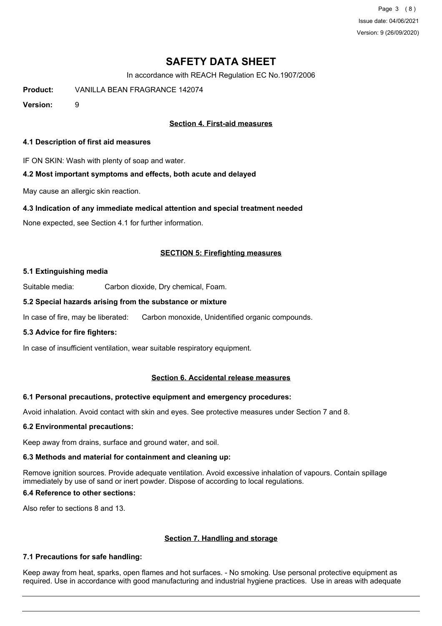Page 3 (8) Issue date: 04/06/2021 Version: 9 (26/09/2020)

# **SAFETY DATA SHEET**

In accordance with REACH Regulation EC No.1907/2006

**Product:** VANILLA BEAN FRAGRANCE 142074

**Version:** 9

# **Section 4. First-aid measures**

# **4.1 Description of first aid measures**

IF ON SKIN: Wash with plenty of soap and water.

# **4.2 Most important symptoms and effects, both acute and delayed**

May cause an allergic skin reaction.

# **4.3 Indication of any immediate medical attention and special treatment needed**

None expected, see Section 4.1 for further information.

# **SECTION 5: Firefighting measures**

# **5.1 Extinguishing media**

Suitable media: Carbon dioxide, Dry chemical, Foam.

# **5.2 Special hazards arising from the substance or mixture**

In case of fire, may be liberated: Carbon monoxide, Unidentified organic compounds.

# **5.3 Advice for fire fighters:**

In case of insufficient ventilation, wear suitable respiratory equipment.

# **Section 6. Accidental release measures**

# **6.1 Personal precautions, protective equipment and emergency procedures:**

Avoid inhalation. Avoid contact with skin and eyes. See protective measures under Section 7 and 8.

#### **6.2 Environmental precautions:**

Keep away from drains, surface and ground water, and soil.

# **6.3 Methods and material for containment and cleaning up:**

Remove ignition sources. Provide adequate ventilation. Avoid excessive inhalation of vapours. Contain spillage immediately by use of sand or inert powder. Dispose of according to local regulations.

# **6.4 Reference to other sections:**

Also refer to sections 8 and 13.

# **Section 7. Handling and storage**

# **7.1 Precautions for safe handling:**

Keep away from heat, sparks, open flames and hot surfaces. - No smoking. Use personal protective equipment as required. Use in accordance with good manufacturing and industrial hygiene practices. Use in areas with adequate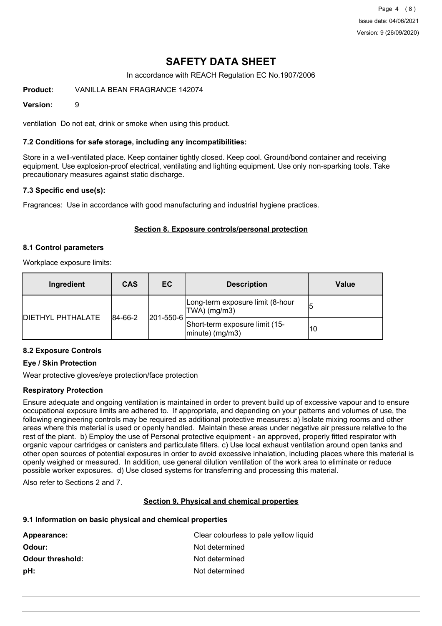Page 4 (8) Issue date: 04/06/2021 Version: 9 (26/09/2020)

# **SAFETY DATA SHEET**

In accordance with REACH Regulation EC No.1907/2006

**Product:** VANILLA BEAN FRAGRANCE 142074

## **Version:** 9

ventilation Do not eat, drink or smoke when using this product.

## **7.2 Conditions for safe storage, including any incompatibilities:**

Store in a well-ventilated place. Keep container tightly closed. Keep cool. Ground/bond container and receiving equipment. Use explosion-proof electrical, ventilating and lighting equipment. Use only non-sparking tools. Take precautionary measures against static discharge.

### **7.3 Specific end use(s):**

Fragrances: Use in accordance with good manufacturing and industrial hygiene practices.

# **Section 8. Exposure controls/personal protection**

### **8.1 Control parameters**

Workplace exposure limits:

| Ingredient               | <b>CAS</b>  | EC        | <b>Description</b>                                   | Value |
|--------------------------|-------------|-----------|------------------------------------------------------|-------|
|                          | $ 84-66-2 $ | 201-550-6 | Long-term exposure limit (8-hour<br> TWA  (mg/m3)    |       |
| <b>DIETHYL PHTHALATE</b> |             |           | Short-term exposure limit (15-<br>$ minute)$ (mg/m3) | 10    |

# **8.2 Exposure Controls**

# **Eye / Skin Protection**

Wear protective gloves/eye protection/face protection

# **Respiratory Protection**

Ensure adequate and ongoing ventilation is maintained in order to prevent build up of excessive vapour and to ensure occupational exposure limits are adhered to. If appropriate, and depending on your patterns and volumes of use, the following engineering controls may be required as additional protective measures: a) Isolate mixing rooms and other areas where this material is used or openly handled. Maintain these areas under negative air pressure relative to the rest of the plant. b) Employ the use of Personal protective equipment - an approved, properly fitted respirator with organic vapour cartridges or canisters and particulate filters. c) Use local exhaust ventilation around open tanks and other open sources of potential exposures in order to avoid excessive inhalation, including places where this material is openly weighed or measured. In addition, use general dilution ventilation of the work area to eliminate or reduce possible worker exposures. d) Use closed systems for transferring and processing this material.

Also refer to Sections 2 and 7.

# **Section 9. Physical and chemical properties**

#### **9.1 Information on basic physical and chemical properties**

| Appearance:             | Clear colourless to pale yellow liquid |
|-------------------------|----------------------------------------|
| Odour:                  | Not determined                         |
| <b>Odour threshold:</b> | Not determined                         |
| pH:                     | Not determined                         |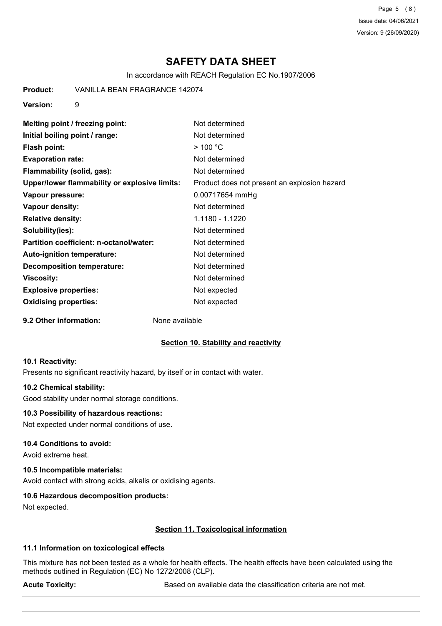Page 5 (8) Issue date: 04/06/2021 Version: 9 (26/09/2020)

# **SAFETY DATA SHEET**

In accordance with REACH Regulation EC No.1907/2006

**Product:** VANILLA BEAN FRAGRANCE 142074

**Version:** 9

| Melting point / freezing point:               | Not determined                               |
|-----------------------------------------------|----------------------------------------------|
| Initial boiling point / range:                | Not determined                               |
| Flash point:                                  | $>$ 100 °C                                   |
| <b>Evaporation rate:</b>                      | Not determined                               |
| Flammability (solid, gas):                    | Not determined                               |
| Upper/lower flammability or explosive limits: | Product does not present an explosion hazard |
| Vapour pressure:                              | 0.00717654 mmHg                              |
| Vapour density:                               | Not determined                               |
| <b>Relative density:</b>                      | 1.1180 - 1.1220                              |
| Solubility(ies):                              | Not determined                               |
| Partition coefficient: n-octanol/water:       | Not determined                               |
| <b>Auto-ignition temperature:</b>             | Not determined                               |
| <b>Decomposition temperature:</b>             | Not determined                               |
| Viscosity:                                    | Not determined                               |
| <b>Explosive properties:</b>                  | Not expected                                 |
| <b>Oxidising properties:</b>                  | Not expected                                 |
|                                               |                                              |

**9.2 Other information:** None available

# **Section 10. Stability and reactivity**

#### **10.1 Reactivity:**

Presents no significant reactivity hazard, by itself or in contact with water.

### **10.2 Chemical stability:**

Good stability under normal storage conditions.

## **10.3 Possibility of hazardous reactions:**

Not expected under normal conditions of use.

#### **10.4 Conditions to avoid:**

Avoid extreme heat.

# **10.5 Incompatible materials:**

Avoid contact with strong acids, alkalis or oxidising agents.

# **10.6 Hazardous decomposition products:**

Not expected.

# **Section 11. Toxicological information**

# **11.1 Information on toxicological effects**

This mixture has not been tested as a whole for health effects. The health effects have been calculated using the methods outlined in Regulation (EC) No 1272/2008 (CLP).

Acute Toxicity: **Acute Toxicity:** Based on available data the classification criteria are not met.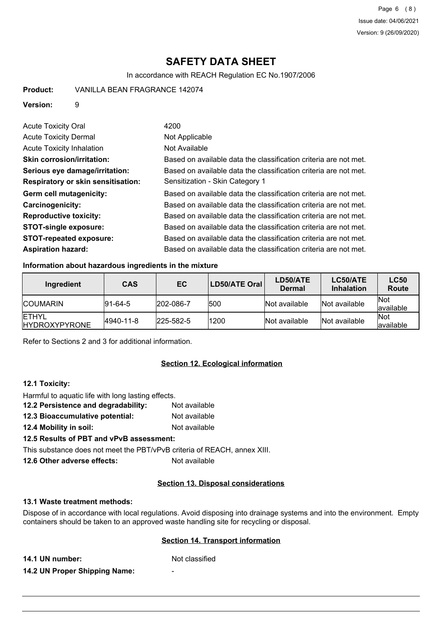# **SAFETY DATA SHEET**

In accordance with REACH Regulation EC No.1907/2006

## **Version:** 9

| <b>Acute Toxicity Oral</b>                | 4200                                                             |
|-------------------------------------------|------------------------------------------------------------------|
| <b>Acute Toxicity Dermal</b>              | Not Applicable                                                   |
| Acute Toxicity Inhalation                 | Not Available                                                    |
| <b>Skin corrosion/irritation:</b>         | Based on available data the classification criteria are not met. |
| Serious eye damage/irritation:            | Based on available data the classification criteria are not met. |
| <b>Respiratory or skin sensitisation:</b> | Sensitization - Skin Category 1                                  |
| Germ cell mutagenicity:                   | Based on available data the classification criteria are not met. |
| <b>Carcinogenicity:</b>                   | Based on available data the classification criteria are not met. |
| <b>Reproductive toxicity:</b>             | Based on available data the classification criteria are not met. |
| <b>STOT-single exposure:</b>              | Based on available data the classification criteria are not met. |
| <b>STOT-repeated exposure:</b>            | Based on available data the classification criteria are not met. |
| <b>Aspiration hazard:</b>                 | Based on available data the classification criteria are not met. |

# **Information about hazardous ingredients in the mixture**

| Ingredient                             | <b>CAS</b>      | EC.               | <b>LD50/ATE Oral</b> | LD50/ATE<br><b>Dermal</b> | LC50/ATE<br><b>Inhalation</b> | <b>LC50</b><br>Route     |
|----------------------------------------|-----------------|-------------------|----------------------|---------------------------|-------------------------------|--------------------------|
| <b>ICOUMARIN</b>                       | $ 91 - 64 - 5 $ | 202-086-7         | 1500                 | Not available             | Not available                 | <b>Not</b><br>lavailable |
| <b>IETHYL</b><br><b>IHYDROXYPYRONE</b> | 4940-11-8       | $ 225 - 582 - 5 $ | 1200                 | Not available             | Not available                 | <b>Not</b><br>lavailable |

Refer to Sections 2 and 3 for additional information.

# **Section 12. Ecological information**

# **12.1 Toxicity:**

Harmful to aquatic life with long lasting effects.

- **12.2 Persistence and degradability:** Not available
- **12.3 Bioaccumulative potential:** Not available
- **12.4 Mobility in soil:** Not available

# **12.5 Results of PBT and vPvB assessment:**

This substance does not meet the PBT/vPvB criteria of REACH, annex XIII.

**12.6 Other adverse effects:** Not available

# **Section 13. Disposal considerations**

## **13.1 Waste treatment methods:**

Dispose of in accordance with local regulations. Avoid disposing into drainage systems and into the environment. Empty containers should be taken to an approved waste handling site for recycling or disposal.

# **Section 14. Transport information**

**14.1 UN number:** Not classified

**14.2 UN Proper Shipping Name:** -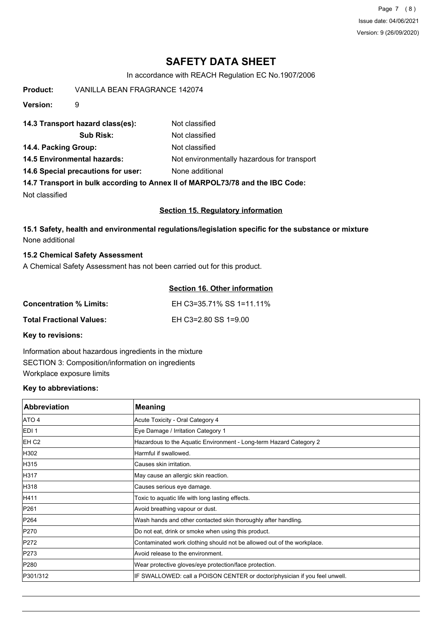Page 7 (8) Issue date: 04/06/2021 Version: 9 (26/09/2020)

# **SAFETY DATA SHEET**

In accordance with REACH Regulation EC No.1907/2006

**Product:** VANILLA BEAN FRAGRANCE 142074 **Version:** 9 **14.3 Transport hazard class(es):** Not classified **Sub Risk:** Not classified **14.4. Packing Group:** Not classified **14.5 Environmental hazards:** Not environmentally hazardous for transport **14.6 Special precautions for user:** None additional **14.7 Transport in bulk according to Annex II of MARPOL73/78 and the IBC Code:** Not classified

# **Section 15. Regulatory information**

**15.1 Safety, health and environmental regulations/legislation specific for the substance or mixture** None additional

### **15.2 Chemical Safety Assessment**

A Chemical Safety Assessment has not been carried out for this product.

# **Section 16. Other information**

| <b>Concentration % Limits:</b>  | EH C3=35.71% SS 1=11.11% |
|---------------------------------|--------------------------|
| <b>Total Fractional Values:</b> | EH C3=2.80 SS 1=9.00     |

**Key to revisions:**

Information about hazardous ingredients in the mixture SECTION 3: Composition/information on ingredients Workplace exposure limits

#### **Key to abbreviations:**

| <b>Abbreviation</b> | <b>Meaning</b>                                                             |
|---------------------|----------------------------------------------------------------------------|
| ATO 4               | Acute Toxicity - Oral Category 4                                           |
| EDI <sub>1</sub>    | Eye Damage / Irritation Category 1                                         |
| EH C <sub>2</sub>   | Hazardous to the Aquatic Environment - Long-term Hazard Category 2         |
| H302                | Harmful if swallowed.                                                      |
| H315                | lCauses skin irritation.                                                   |
| H317                | May cause an allergic skin reaction.                                       |
| H318                | Causes serious eye damage.                                                 |
| H411                | Toxic to aquatic life with long lasting effects.                           |
| P261                | Avoid breathing vapour or dust.                                            |
| P264                | Wash hands and other contacted skin thoroughly after handling.             |
| P270                | Do not eat, drink or smoke when using this product.                        |
| P272                | Contaminated work clothing should not be allowed out of the workplace.     |
| P273                | Avoid release to the environment.                                          |
| P280                | Wear protective gloves/eye protection/face protection.                     |
| P301/312            | IF SWALLOWED: call a POISON CENTER or doctor/physician if you feel unwell. |